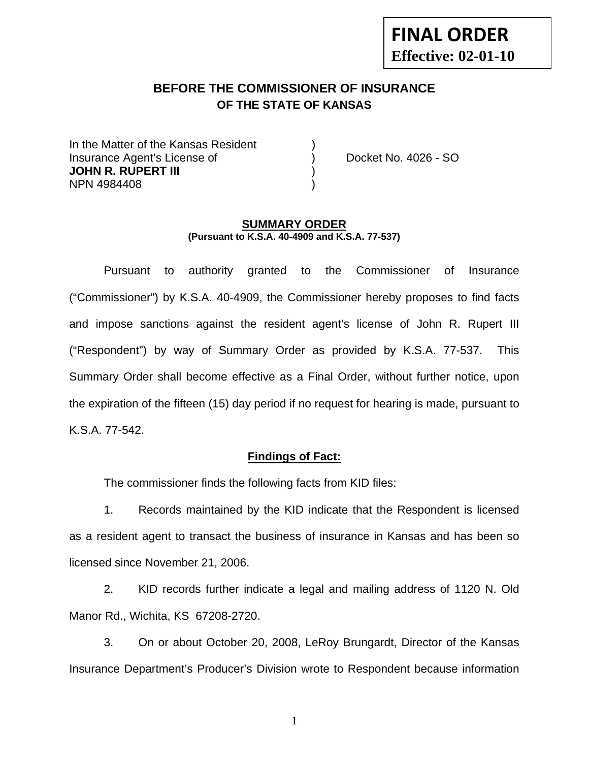# **FINAL ORDER Effective: 02-01-10**

## **BEFORE THE COMMISSIONER OF INSURANCE OF THE STATE OF KANSAS**

In the Matter of the Kansas Resident Insurance Agent's License of ) Docket No. 4026 - SO **JOHN R. RUPERT III** ) NPN 4984408 )

#### **SUMMARY ORDER (Pursuant to K.S.A. 40-4909 and K.S.A. 77-537)**

 Pursuant to authority granted to the Commissioner of Insurance ("Commissioner") by K.S.A. 40-4909, the Commissioner hereby proposes to find facts and impose sanctions against the resident agent's license of John R. Rupert III ("Respondent") by way of Summary Order as provided by K.S.A. 77-537. This Summary Order shall become effective as a Final Order, without further notice, upon the expiration of the fifteen (15) day period if no request for hearing is made, pursuant to K.S.A. 77-542.

### **Findings of Fact:**

The commissioner finds the following facts from KID files:

 1. Records maintained by the KID indicate that the Respondent is licensed as a resident agent to transact the business of insurance in Kansas and has been so licensed since November 21, 2006.

 2. KID records further indicate a legal and mailing address of 1120 N. Old Manor Rd., Wichita, KS 67208-2720.

 3. On or about October 20, 2008, LeRoy Brungardt, Director of the Kansas Insurance Department's Producer's Division wrote to Respondent because information

1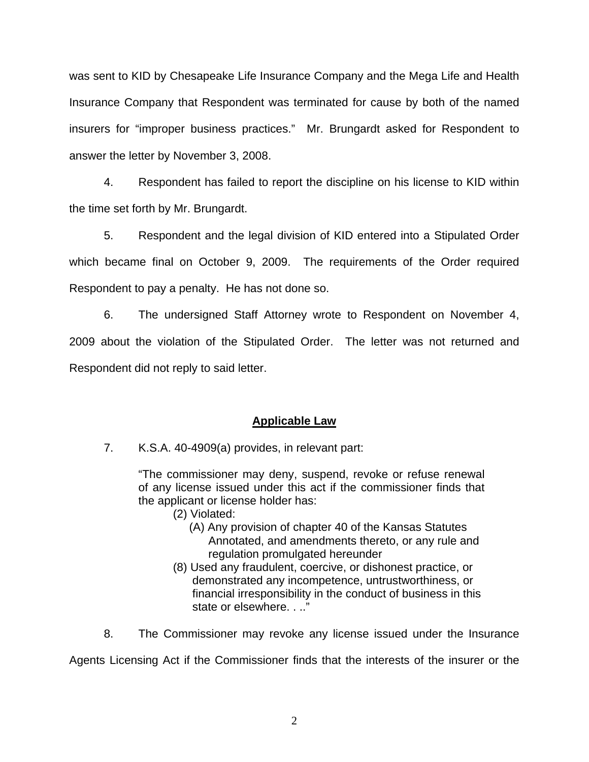was sent to KID by Chesapeake Life Insurance Company and the Mega Life and Health Insurance Company that Respondent was terminated for cause by both of the named insurers for "improper business practices." Mr. Brungardt asked for Respondent to answer the letter by November 3, 2008.

 4. Respondent has failed to report the discipline on his license to KID within the time set forth by Mr. Brungardt.

 5. Respondent and the legal division of KID entered into a Stipulated Order which became final on October 9, 2009. The requirements of the Order required Respondent to pay a penalty. He has not done so.

 6. The undersigned Staff Attorney wrote to Respondent on November 4, 2009 about the violation of the Stipulated Order. The letter was not returned and Respondent did not reply to said letter.

## **Applicable Law**

7. K.S.A. 40-4909(a) provides, in relevant part:

"The commissioner may deny, suspend, revoke or refuse renewal of any license issued under this act if the commissioner finds that the applicant or license holder has:

- (2) Violated:
	- (A) Any provision of chapter 40 of the Kansas Statutes Annotated, and amendments thereto, or any rule and regulation promulgated hereunder
- (8) Used any fraudulent, coercive, or dishonest practice, or demonstrated any incompetence, untrustworthiness, or financial irresponsibility in the conduct of business in this state or elsewhere. . .."

8. The Commissioner may revoke any license issued under the Insurance

Agents Licensing Act if the Commissioner finds that the interests of the insurer or the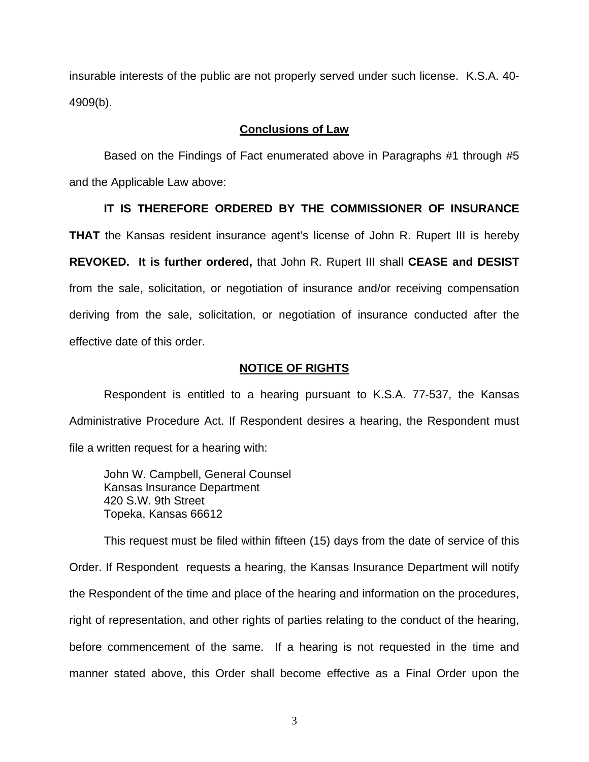insurable interests of the public are not properly served under such license. K.S.A. 40- 4909(b).

#### **Conclusions of Law**

Based on the Findings of Fact enumerated above in Paragraphs #1 through #5 and the Applicable Law above:

#### **IT IS THEREFORE ORDERED BY THE COMMISSIONER OF INSURANCE**

**THAT** the Kansas resident insurance agent's license of John R. Rupert III is hereby **REVOKED. It is further ordered,** that John R. Rupert III shall **CEASE and DESIST** from the sale, solicitation, or negotiation of insurance and/or receiving compensation deriving from the sale, solicitation, or negotiation of insurance conducted after the effective date of this order.

#### **NOTICE OF RIGHTS**

Respondent is entitled to a hearing pursuant to K.S.A. 77-537, the Kansas Administrative Procedure Act. If Respondent desires a hearing, the Respondent must file a written request for a hearing with:

John W. Campbell, General Counsel Kansas Insurance Department 420 S.W. 9th Street Topeka, Kansas 66612

This request must be filed within fifteen (15) days from the date of service of this Order. If Respondent requests a hearing, the Kansas Insurance Department will notify the Respondent of the time and place of the hearing and information on the procedures, right of representation, and other rights of parties relating to the conduct of the hearing, before commencement of the same. If a hearing is not requested in the time and manner stated above, this Order shall become effective as a Final Order upon the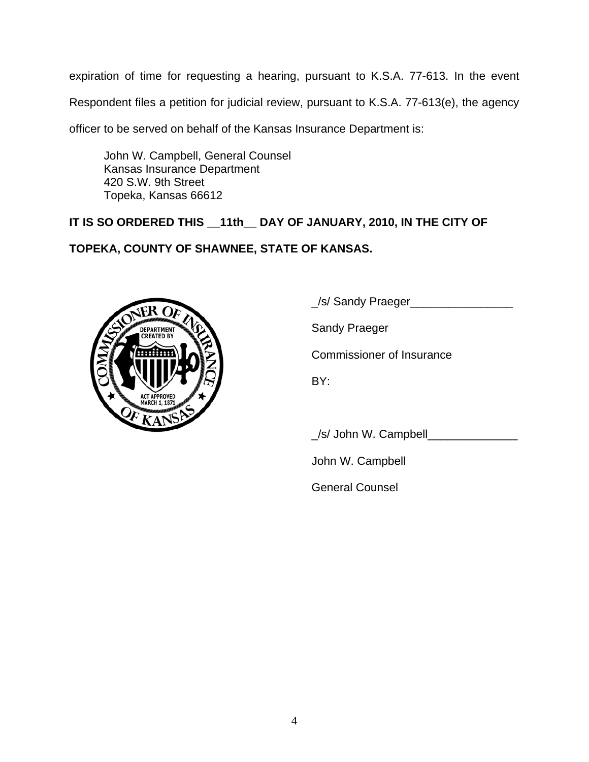expiration of time for requesting a hearing, pursuant to K.S.A. 77-613. In the event

Respondent files a petition for judicial review, pursuant to K.S.A. 77-613(e), the agency

officer to be served on behalf of the Kansas Insurance Department is:

John W. Campbell, General Counsel Kansas Insurance Department 420 S.W. 9th Street Topeka, Kansas 66612

## **IT IS SO ORDERED THIS \_\_11th\_\_ DAY OF JANUARY, 2010, IN THE CITY OF**

## **TOPEKA, COUNTY OF SHAWNEE, STATE OF KANSAS.**



\_/s/ Sandy Praeger\_\_\_\_\_\_\_\_\_\_\_\_\_\_\_\_

Sandy Praeger

Commissioner of Insurance

BY:

\_/s/ John W. Campbell\_\_\_\_\_\_\_\_\_\_\_\_\_\_

John W. Campbell

General Counsel